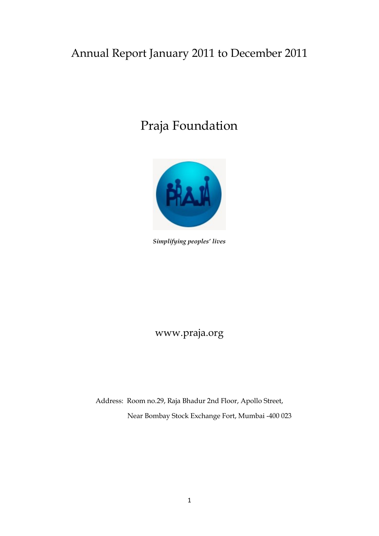## Annual Report January 2011 to December 2011

# Praja Foundation



*Simplifying peoples' lives* 

www.praja.org

Address: Room no.29, Raja Bhadur 2nd Floor, Apollo Street, Near Bombay Stock Exchange Fort, Mumbai -400 023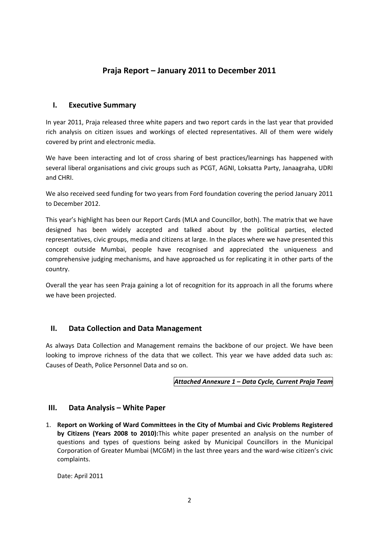### **Praja Report – January 2011 to December 2011**

#### **I. Executive Summary**

In year 2011, Praja released three white papers and two report cards in the last year that provided rich analysis on citizen issues and workings of elected representatives. All of them were widely covered by print and electronic media.

We have been interacting and lot of cross sharing of best practices/learnings has happened with several liberal organisations and civic groups such as PCGT, AGNI, Loksatta Party, Janaagraha, UDRI and CHRI.

We also received seed funding for two years from Ford foundation covering the period January 2011 to December 2012.

This year's highlight has been our Report Cards (MLA and Councillor, both). The matrix that we have designed has been widely accepted and talked about by the political parties, elected representatives, civic groups, media and citizens at large. In the places where we have presented this concept outside Mumbai, people have recognised and appreciated the uniqueness and comprehensive judging mechanisms, and have approached us for replicating it in other parts of the country.

Overall the year has seen Praja gaining a lot of recognition for its approach in all the forums where we have been projected.

#### **II. Data Collection and Data Management**

As always Data Collection and Management remains the backbone of our project. We have been looking to improve richness of the data that we collect. This year we have added data such as: Causes of Death, Police Personnel Data and so on.

#### *Attached Annexure 1 – Data Cycle, Current Praja Team*

#### **III.** Data Analysis – White Paper

1. **Report on Working of Ward Committees in the City of Mumbai and Civic Problems Registered by Citizens (Years 2008 to 2010):**This white paper presented an analysis on the number of questions and types of questions being asked by Municipal Councillors in the Municipal Corporation of Greater Mumbai (MCGM) in the last three years and the ward-wise citizen's civic complaints.

Date: April 2011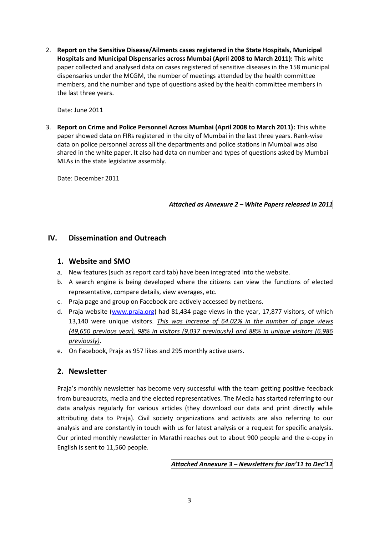2. **Report on the Sensitive Disease/Ailments cases registered in the State Hospitals, Municipal Hospitals and Municipal Dispensaries across Mumbai (April 2008 to March 2011):** This white paper collected and analysed data on cases registered of sensitive diseases in the 158 municipal dispensaries under the MCGM, the number of meetings attended by the health committee members, and the number and type of questions asked by the health committee members in the last three years.

Date: June 2011

3. **Report on Crime and Police Personnel Across Mumbai (April 2008 to March 2011):** This white paper showed data on FIRs registered in the city of Mumbai in the last three years. Rank-wise data on police personnel across all the departments and police stations in Mumbai was also shared in the white paper. It also had data on number and types of questions asked by Mumbai MLAs in the state legislative assembly.

Date: December 2011

*Attached as Annexure 2 – White Papers released in 2011*

#### **IV. Dissemination and Outreach**

#### **1. Website and SMO**

- a. New features (such as report card tab) have been integrated into the website.
- b. A search engine is being developed where the citizens can view the functions of elected representative, compare details, view averages, etc.
- c. Praja page and group on Facebook are actively accessed by netizens.
- d. Praja website [\(www.praja.org\)](http://www.praja.org/) had 81,434 page views in the year, 17,877 visitors, of which 13,140 were unique visitors. *This was increase of 64.02% in the number of page views (49,650 previous year), 98% in visitors (9,037 previously) and 88% in unique visitors (6,986 previously)*.
- e. On Facebook, Praja as 957 likes and 295 monthly active users.

#### **2. Newsletter**

Praja's monthly newsletter has become very successful with the team getting positive feedback from bureaucrats, media and the elected representatives. The Media has started referring to our data analysis regularly for various articles (they download our data and print directly while attributing data to Praja). Civil society organizations and activists are also referring to our analysis and are constantly in touch with us for latest analysis or a request for specific analysis. Our printed monthly newsletter in Marathi reaches out to about 900 people and the e-copy in English is sent to 11,560 people.

*Attached Annexure 3 – Newsletters for Jan'11 to Dec'11*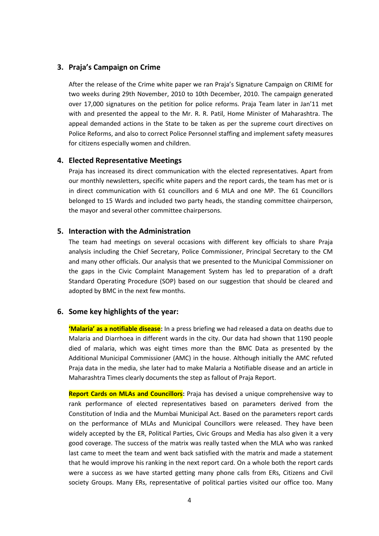#### **3. Praja's Campaign on Crime**

After the release of the Crime white paper we ran Praja's Signature Campaign on CRIME for two weeks during 29th November, 2010 to 10th December, 2010. The campaign generated over 17,000 signatures on the petition for police reforms. Praja Team later in Jan'11 met with and presented the appeal to the Mr. R. R. Patil, Home Minister of Maharashtra. The appeal demanded actions in the State to be taken as per the supreme court directives on Police Reforms, and also to correct Police Personnel staffing and implement safety measures for citizens especially women and children.

#### **4. Elected Representative Meetings**

Praja has increased its direct communication with the elected representatives. Apart from our monthly newsletters, specific white papers and the report cards, the team has met or is in direct communication with 61 councillors and 6 MLA and one MP. The 61 Councillors belonged to 15 Wards and included two party heads, the standing committee chairperson, the mayor and several other committee chairpersons.

#### **5. Interaction with the Administration**

The team had meetings on several occasions with different key officials to share Praja analysis including the Chief Secretary, Police Commissioner, Principal Secretary to the CM and many other officials. Our analysis that we presented to the Municipal Commissioner on the gaps in the Civic Complaint Management System has led to preparation of a draft Standard Operating Procedure (SOP) based on our suggestion that should be cleared and adopted by BMC in the next few months.

#### **6. Some key highlights of the year:**

**'Malaria' as a notifiable disease:** In a press briefing we had released a data on deaths due to Malaria and Diarrhoea in different wards in the city. Our data had shown that 1190 people died of malaria, which was eight times more than the BMC Data as presented by the Additional Municipal Commissioner (AMC) in the house. Although initially the AMC refuted Praja data in the media, she later had to make Malaria a Notifiable disease and an article in Maharashtra Times clearly documents the step as fallout of Praja Report.

**Report Cards on MLAs and Councillors:** Praja has devised a unique comprehensive way to rank performance of elected representatives based on parameters derived from the Constitution of India and the Mumbai Municipal Act. Based on the parameters report cards on the performance of MLAs and Municipal Councillors were released. They have been widely accepted by the ER, Political Parties, Civic Groups and Media has also given it a very good coverage. The success of the matrix was really tasted when the MLA who was ranked last came to meet the team and went back satisfied with the matrix and made a statement that he would improve his ranking in the next report card. On a whole both the report cards were a success as we have started getting many phone calls from ERs, Citizens and Civil society Groups. Many ERs, representative of political parties visited our office too. Many